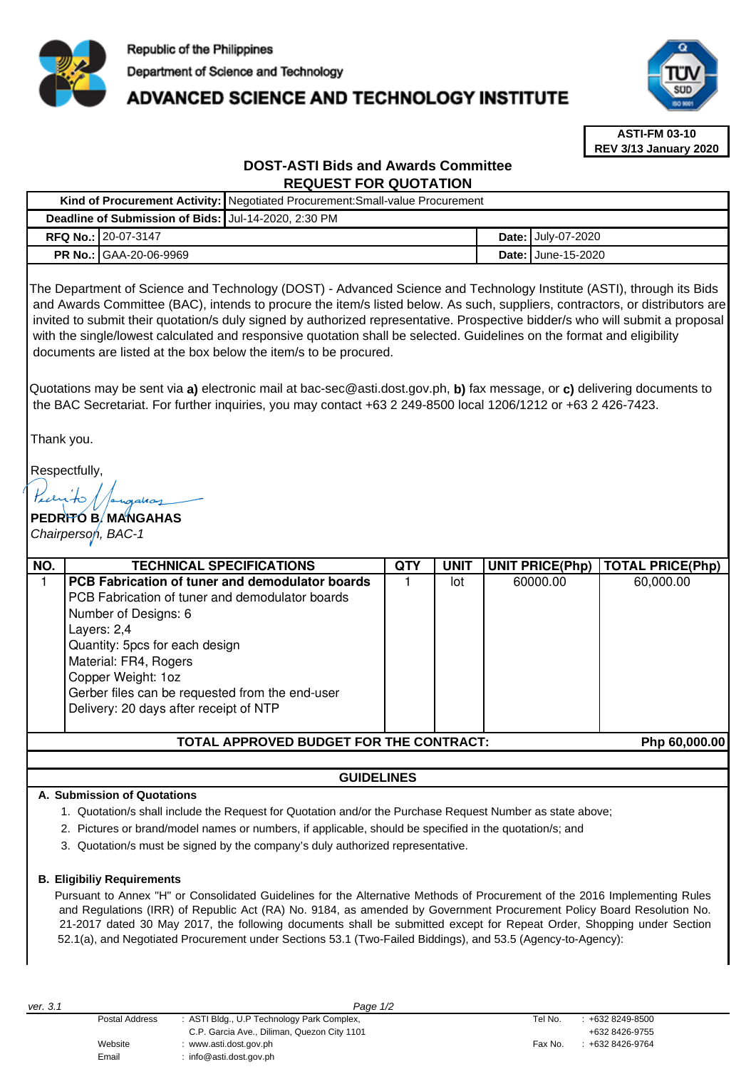

# **ADVANCED SCIENCE AND TECHNOLOGY INSTITUTE**



**ASTI-FM 03-10 REV 3/13 January 2020**

# **DOST-ASTI Bids and Awards Committee REQUEST FOR QUOTATION**

|                                                                                                                                                                                                                                                                                                                                                                                                                                                                                                                                                                                                                                                                                                                                                                                                                                                                                                              |                                                                                                                                                                                                                                                                                                                         | Kind of Procurement Activity: Negotiated Procurement: Small-value Procurement |     |             |                    |                        |                         |  |
|--------------------------------------------------------------------------------------------------------------------------------------------------------------------------------------------------------------------------------------------------------------------------------------------------------------------------------------------------------------------------------------------------------------------------------------------------------------------------------------------------------------------------------------------------------------------------------------------------------------------------------------------------------------------------------------------------------------------------------------------------------------------------------------------------------------------------------------------------------------------------------------------------------------|-------------------------------------------------------------------------------------------------------------------------------------------------------------------------------------------------------------------------------------------------------------------------------------------------------------------------|-------------------------------------------------------------------------------|-----|-------------|--------------------|------------------------|-------------------------|--|
| Deadline of Submission of Bids: Jul-14-2020, 2:30 PM                                                                                                                                                                                                                                                                                                                                                                                                                                                                                                                                                                                                                                                                                                                                                                                                                                                         |                                                                                                                                                                                                                                                                                                                         |                                                                               |     |             |                    |                        |                         |  |
| RFQ No.: 20-07-3147                                                                                                                                                                                                                                                                                                                                                                                                                                                                                                                                                                                                                                                                                                                                                                                                                                                                                          |                                                                                                                                                                                                                                                                                                                         |                                                                               |     |             | Date: July-07-2020 |                        |                         |  |
| <b>PR No.: GAA-20-06-9969</b>                                                                                                                                                                                                                                                                                                                                                                                                                                                                                                                                                                                                                                                                                                                                                                                                                                                                                |                                                                                                                                                                                                                                                                                                                         |                                                                               |     |             |                    | Date: June-15-2020     |                         |  |
| The Department of Science and Technology (DOST) - Advanced Science and Technology Institute (ASTI), through its Bids<br>and Awards Committee (BAC), intends to procure the item/s listed below. As such, suppliers, contractors, or distributors are<br>invited to submit their quotation/s duly signed by authorized representative. Prospective bidder/s who will submit a proposal<br>with the single/lowest calculated and responsive quotation shall be selected. Guidelines on the format and eligibility<br>documents are listed at the box below the item/s to be procured.<br>Quotations may be sent via a) electronic mail at bac-sec@asti.dost.gov.ph, b) fax message, or c) delivering documents to<br>the BAC Secretariat. For further inquiries, you may contact +63 2 249-8500 local 1206/1212 or +63 2 426-7423.<br>Thank you.<br>Respectfully,<br>PEDRITO B. MANGAHAS<br>Chairperson, BAC-1 |                                                                                                                                                                                                                                                                                                                         |                                                                               |     |             |                    |                        |                         |  |
| NO.                                                                                                                                                                                                                                                                                                                                                                                                                                                                                                                                                                                                                                                                                                                                                                                                                                                                                                          | <b>TECHNICAL SPECIFICATIONS</b>                                                                                                                                                                                                                                                                                         |                                                                               | QTY | <b>UNIT</b> |                    | <b>UNIT PRICE(Php)</b> | <b>TOTAL PRICE(Php)</b> |  |
| $\mathbf{1}$                                                                                                                                                                                                                                                                                                                                                                                                                                                                                                                                                                                                                                                                                                                                                                                                                                                                                                 | PCB Fabrication of tuner and demodulator boards<br>PCB Fabrication of tuner and demodulator boards<br>Number of Designs: 6<br>Layers: 2,4<br>Quantity: 5pcs for each design<br>Material: FR4, Rogers<br>Copper Weight: 1oz<br>Gerber files can be requested from the end-user<br>Delivery: 20 days after receipt of NTP |                                                                               | 1   | lot         |                    | 60000.00               | 60,000.00               |  |
| TOTAL APPROVED BUDGET FOR THE CONTRACT:<br>Php 60,000.00                                                                                                                                                                                                                                                                                                                                                                                                                                                                                                                                                                                                                                                                                                                                                                                                                                                     |                                                                                                                                                                                                                                                                                                                         |                                                                               |     |             |                    |                        |                         |  |
|                                                                                                                                                                                                                                                                                                                                                                                                                                                                                                                                                                                                                                                                                                                                                                                                                                                                                                              |                                                                                                                                                                                                                                                                                                                         |                                                                               |     |             |                    |                        |                         |  |

# **GUIDELINES**

# **A. Submission of Quotations**

1. Quotation/s shall include the Request for Quotation and/or the Purchase Request Number as state above;

- 2. Pictures or brand/model names or numbers, if applicable, should be specified in the quotation/s; and
- 3. Quotation/s must be signed by the company's duly authorized representative.

#### **B. Eligibiliy Requirements**

Pursuant to Annex "H" or Consolidated Guidelines for the Alternative Methods of Procurement of the 2016 Implementing Rules and Regulations (IRR) of Republic Act (RA) No. 9184, as amended by Government Procurement Policy Board Resolution No. 21-2017 dated 30 May 2017, the following documents shall be submitted except for Repeat Order, Shopping under Section 52.1(a), and Negotiated Procurement under Sections 53.1 (Two-Failed Biddings), and 53.5 (Agency-to-Agency):

| ver. 3.1 | Page 1/2       |                                             |         |                     |  |  |
|----------|----------------|---------------------------------------------|---------|---------------------|--|--|
|          | Postal Address | : ASTI Bldg., U.P Technology Park Complex,  | Tel No. | $: +6328249 - 8500$ |  |  |
|          |                | C.P. Garcia Ave., Diliman, Quezon City 1101 |         | +632 8426-9755      |  |  |
|          | Website        | www.asti.dost.gov.ph                        | Fax No. | +632 8426-9764      |  |  |
|          | Email          | : info@asti.dost.gov.ph                     |         |                     |  |  |